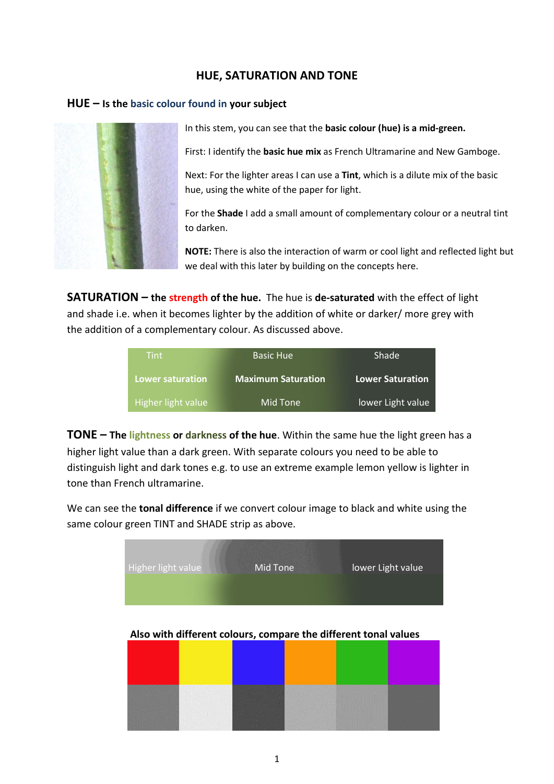## **HUE, SATURATION AND TONE**

## **HUE – Is the basic colour found in your subject**



In this stem, you can see that the **basic colour (hue) is a mid-green.**

First: I identify the **basic hue mix** as French Ultramarine and New Gamboge.

Next: For the lighter areas I can use a **Tint**, which is a dilute mix of the basic hue, using the white of the paper for light.

For the **Shade** I add a small amount of complementary colour or a neutral tint to darken.

**NOTE:** There is also the interaction of warm or cool light and reflected light but we deal with this later by building on the concepts here.

**SATURATION – the strength of the hue.** The hue is **de-saturated** with the effect of light and shade i.e. when it becomes lighter by the addition of white or darker/ more grey with the addition of a complementary colour. As discussed above.

| <b>Tint</b>             | <b>Basic Hue</b>          | Shade                   |  |
|-------------------------|---------------------------|-------------------------|--|
| <b>Lower saturation</b> | <b>Maximum Saturation</b> | <b>Lower Saturation</b> |  |
| Higher light value      | Mid Tone                  | lower Light value       |  |

**TONE – The lightness or darkness of the hue**. Within the same hue the light green has a higher light value than a dark green. With separate colours you need to be able to distinguish light and dark tones e.g. to use an extreme example lemon yellow is lighter in tone than French ultramarine.

We can see the **tonal difference** if we convert colour image to black and white using the same colour green TINT and SHADE strip as above.



 **Also with different colours, compare the different tonal values**

| $\overline{\phantom{a}}$<br>i in<br><b>Contract Contract</b><br>4000<br><b>Contract</b><br><b>Light</b><br>.<br>C. | <br>nan<br>Manazarta<br>ra Tana<br><u>gan a shekara</u> | <b><i>Communication of the communication</i></b> | <u>www.</u><br><b>NAMES OF BRIDE</b><br>an an<br><b>Chas Littlessen</b><br><b>RANGE MARK</b> | <u>matematika mate</u><br><b>TENNIS PRODUCTS IN THE COMPANY</b><br><b>Transfer</b><br><b>DESEMBER</b><br><b>CONTRACTOR</b> CONTRACTOR<br>المتناولين والمتعادلة<br>88 B<br>,,,,,,,,,,,,,,,,,,, |  |
|--------------------------------------------------------------------------------------------------------------------|---------------------------------------------------------|--------------------------------------------------|----------------------------------------------------------------------------------------------|-----------------------------------------------------------------------------------------------------------------------------------------------------------------------------------------------|--|